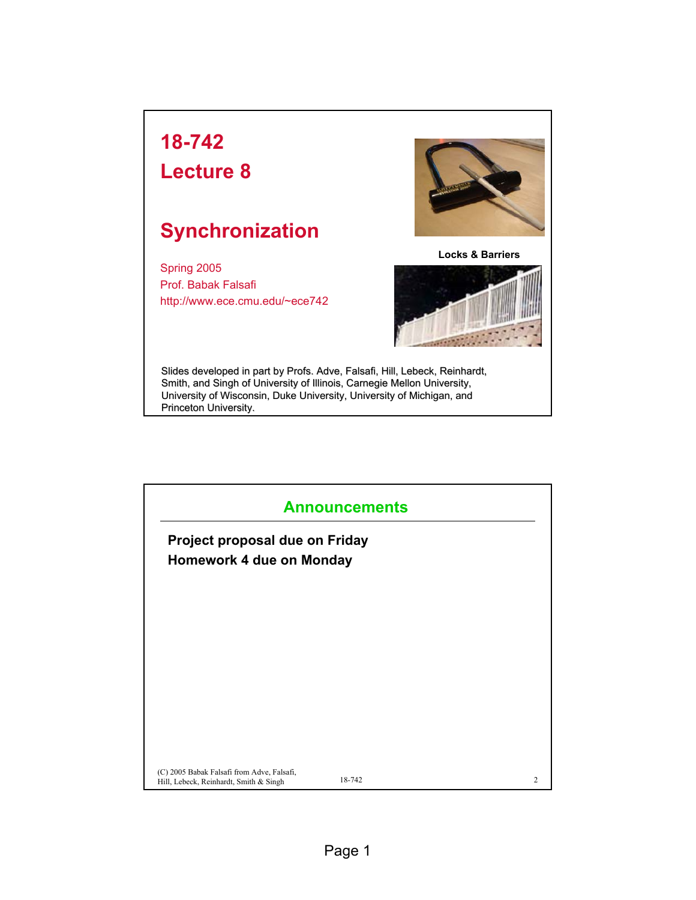## **18-742**

## **Lecture 8**

## **Synchronization**

Spring 2005 Prof. Babak Falsafi http://www.ece.cmu.edu/~ece742



**Locks & Barriers**



Slides developed in part by Profs. Adve, Falsafi, Hill, Lebeck, Reinhardt, Smith, and Singh of University of Illinois, Carnegie Mellon University, University of Wisconsin, Duke University, University of Michigan, and Princeton University.

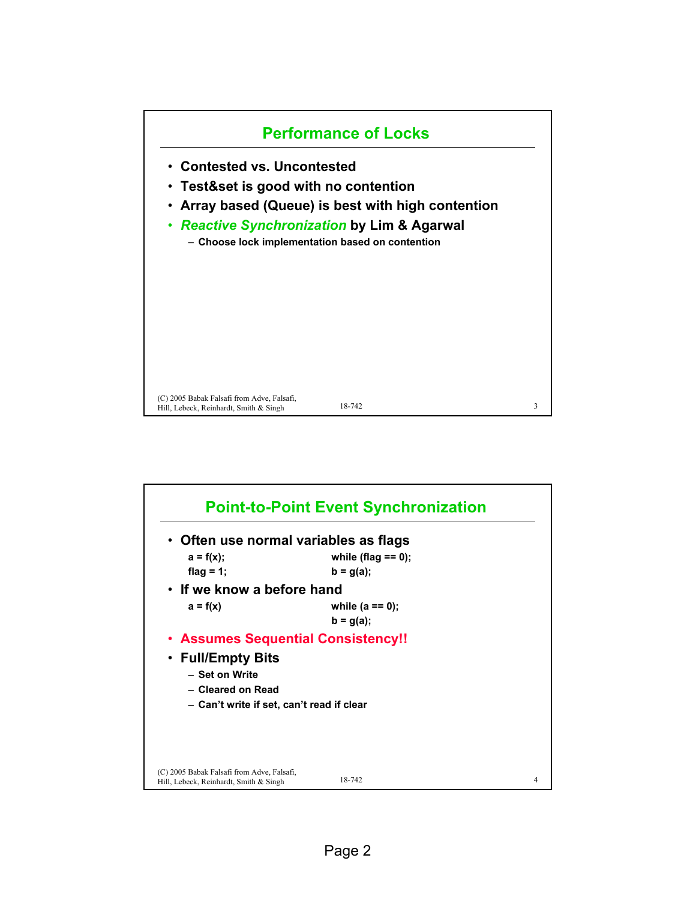

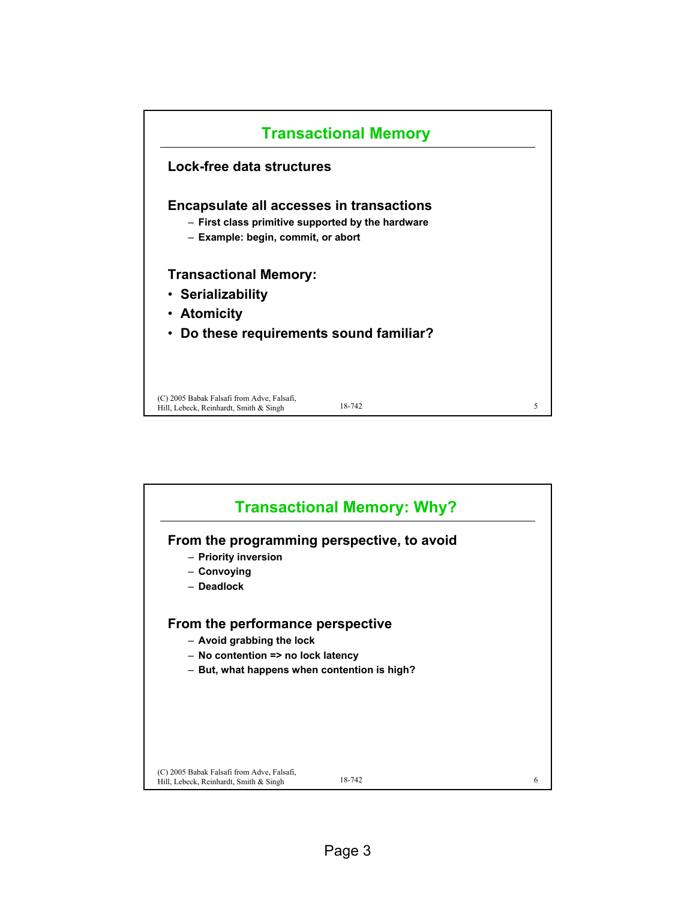

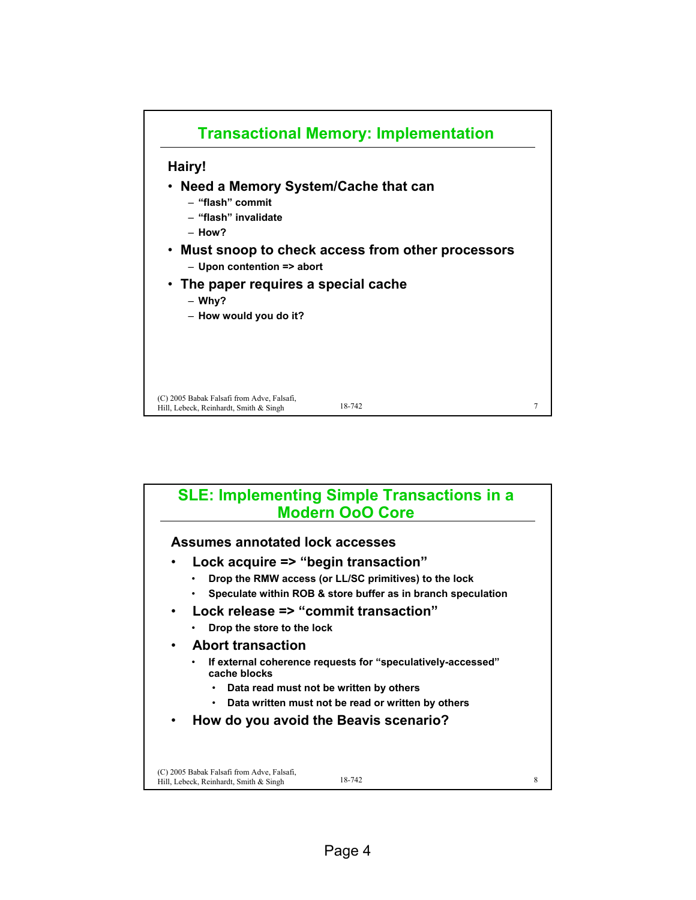

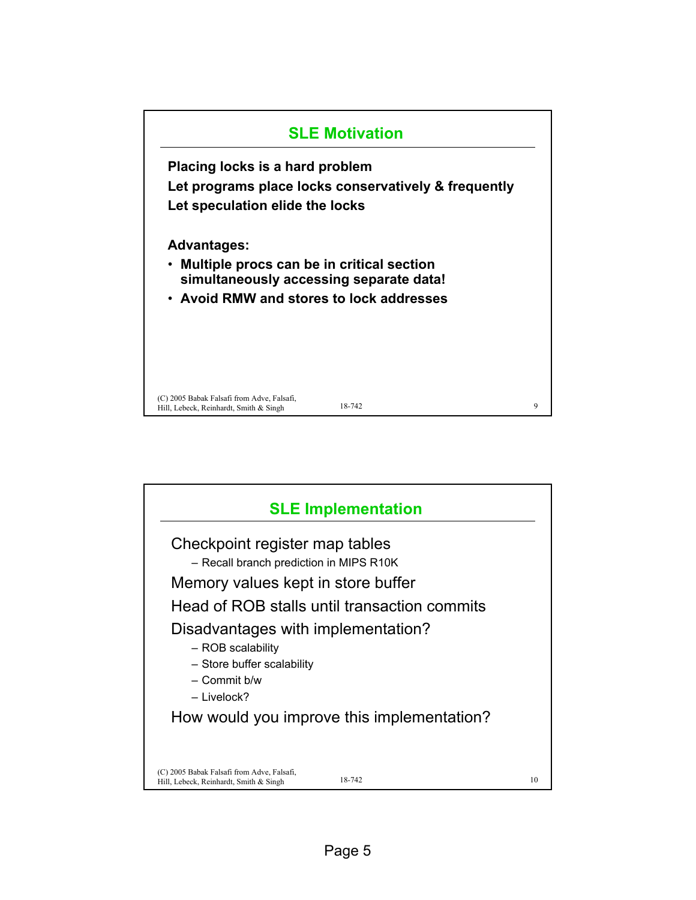

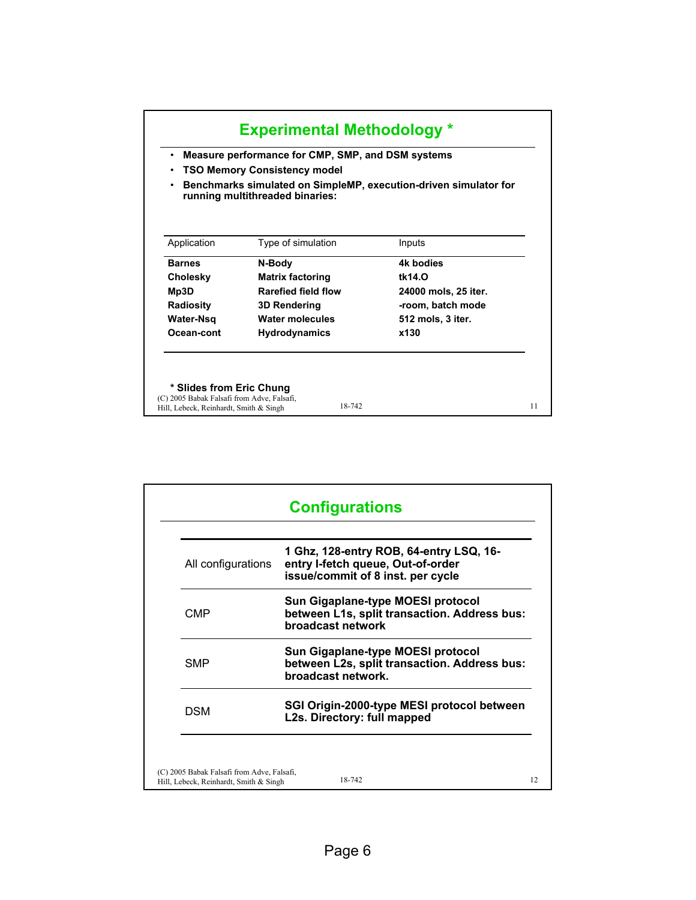|                                                                        | Measure performance for CMP, SMP, and DSM systems<br>٠<br><b>TSO Memory Consistency model</b><br>٠<br>Benchmarks simulated on SimpleMP, execution-driven simulator for<br>٠<br>running multithreaded binaries: |                      |  |  |
|------------------------------------------------------------------------|----------------------------------------------------------------------------------------------------------------------------------------------------------------------------------------------------------------|----------------------|--|--|
| Application                                                            | Type of simulation                                                                                                                                                                                             | Inputs               |  |  |
| <b>Barnes</b>                                                          | N-Body                                                                                                                                                                                                         | 4k bodies            |  |  |
| Cholesky                                                               | <b>Matrix factoring</b>                                                                                                                                                                                        | tk14.0               |  |  |
| Mp3D                                                                   | <b>Rarefied field flow</b>                                                                                                                                                                                     | 24000 mols, 25 iter. |  |  |
| <b>Radiosity</b>                                                       | 3D Rendering                                                                                                                                                                                                   | -room, batch mode    |  |  |
| Water-Nsq                                                              | Water molecules                                                                                                                                                                                                | 512 mols, 3 iter.    |  |  |
| Ocean-cont                                                             | <b>Hydrodynamics</b>                                                                                                                                                                                           | x130                 |  |  |
| * Slides from Eric Chung<br>(C) 2005 Babak Falsafi from Adve, Falsafi, |                                                                                                                                                                                                                |                      |  |  |

| All configurations | 1 Ghz, 128-entry ROB, 64-entry LSQ, 16-<br>entry I-fetch queue, Out-of-order<br>issue/commit of 8 inst. per cycle |
|--------------------|-------------------------------------------------------------------------------------------------------------------|
| CMP                | Sun Gigaplane-type MOESI protocol<br>between L1s, split transaction. Address bus:<br>broadcast network            |
| <b>SMP</b>         | Sun Gigaplane-type MOESI protocol<br>between L2s, split transaction. Address bus:<br>broadcast network.           |
| <b>DSM</b>         | SGI Origin-2000-type MESI protocol between<br>L2s. Directory: full mapped                                         |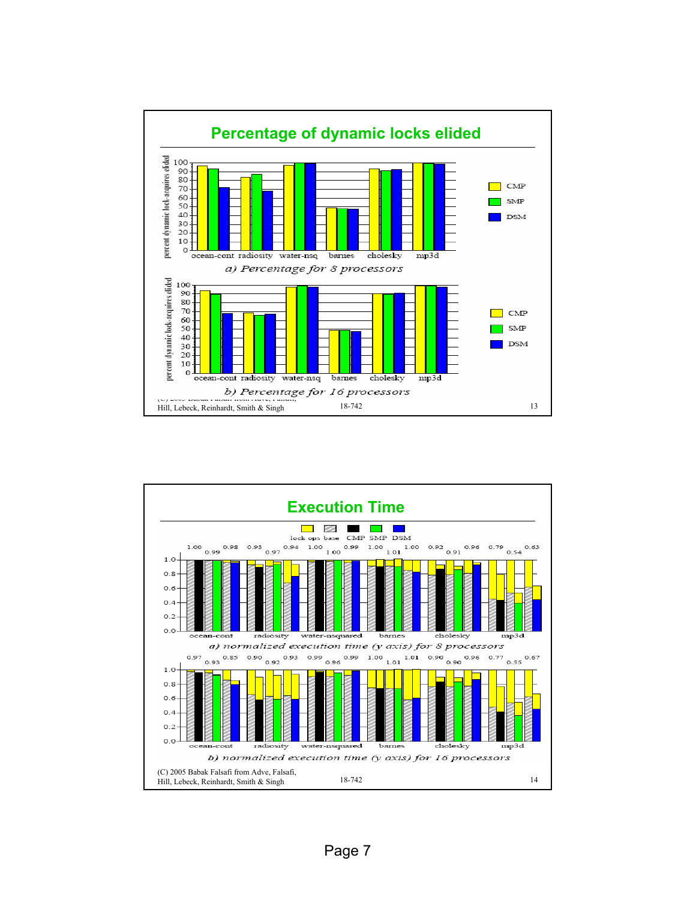

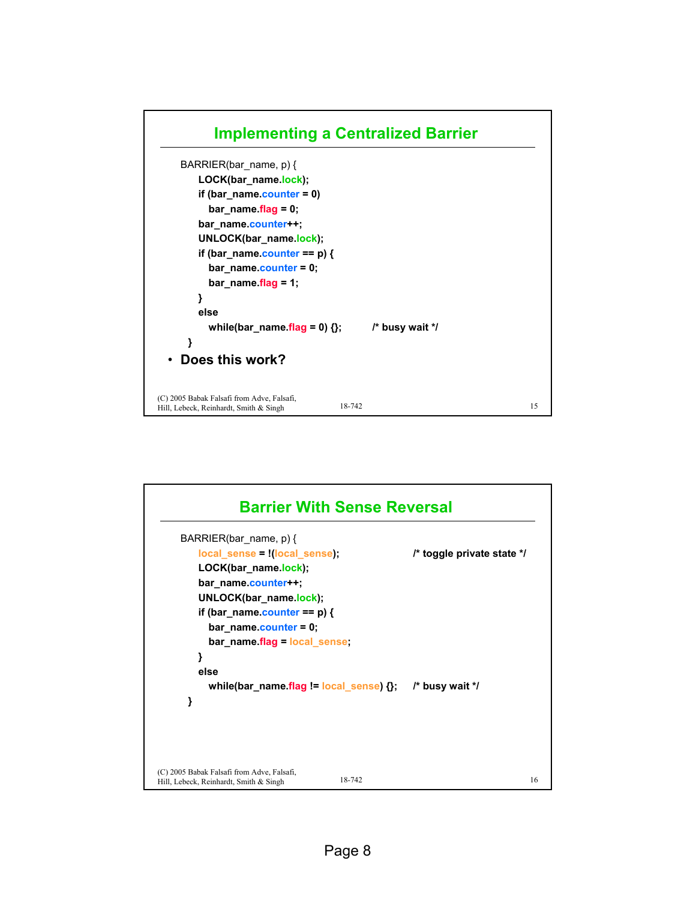